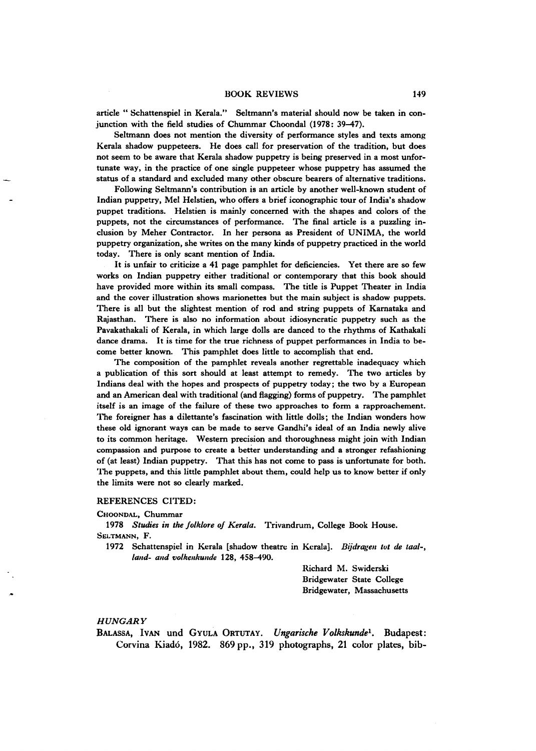## BOOK REVIEWS 149

article " Schattenspiel in Kerala." Seltmann's material should now be taken in conjunction with the field studies of Chummar Choondal (1978: 39-47).

Seltmann does not mention the diversity of performance styles and texts among Kerala shadow puppeteers. He does call for preservation of the tradition, but does not seem to be aware that Kerala shadow puppetry is being preserved in a most unfortunate way, in the practice of one single puppeteer whose puppetry has assumed the status of a standard and excluded many other obscure bearers of alternative traditions.

Following Seltmann's contribution is an article by another well-known student of Indian puppetry, Mel Helstien, who offers a brief iconographic tour of India's shadow puppet traditions. Helstien is mainly concerned with the shapes and colors of the puppets, not the circumstances of performance. The final article is a puzzling inclusion by Meher Contractor. In her persona as President of UNIMA, the world puppetry organization, she writes on the many kinds of puppetry practiced in the world today. There is only scant mention of India.

It is unfair to criticize a 41 page pamphlet for deficiencies. Yet there are so few works on Indian puppetry either traditional or contemporary that this book should have provided more within its small compass. The title is Puppet Theater in India and the cover illustration shows marionettes but the main subject is shadow puppets. There is all but the slightest mention of rod and string puppets of Karnataka and Rajasthan. There is also no information about idiosyncratic puppetry such as the Pavakathakali of Kerala, in which large dolls are danced to the rhythms of Kathakali dance drama. It is time for the true richness of puppet performances in India to become better known. This pamphlet does little to accomplish that end.

The composition of the pamphlet reveals another regrettable inadequacy which a publication of this sort should at least attempt to remedy. The two articles by Indians deal with the hopes and prospects of puppetry today; the two by a European and an American deal with traditional (and flagging) forms of puppetry. The pamphlet itself is an image of the failure of these two approaches to form a rapproachement. The foreigner has a dilettante's fascination with little dolls; the Indian wonders how these old ignorant ways can be made to serve Gandhi's ideal of an India newly alive to its common heritage. Western precision and thoroughness might join with Indian compassion and purpose to create a better understanding and a stronger refashioning of (at least) Indian puppetry. That this has not come to pass is unfortunate for both. The puppets, and this little pamphlet about them, could help us to know better if only the limits were not so clearly marked.

## REFERENCES CITED:

Choondal, Chummar

1978 *Studies in the folklore of Kerala.* Trivandrum, College Book House. Seltmann, F.

1972 Schattenspiel in Kerala [shadow theatre in Kerala]. *Btjdragen tot de taal-,* land- and volkenkunde 128, 458-490.

> Richard M. Swiderski Bridgewater State College Bridgewater, Massachusetts

# *HUNGARY*

BALASSA, IVAN und GYULA ORTUTAY. Ungarische Volkskunde<sup>1</sup>. Budapest: Corvina Kiado, 1982. 869 pp., 319 photographs, 21 color plates, bib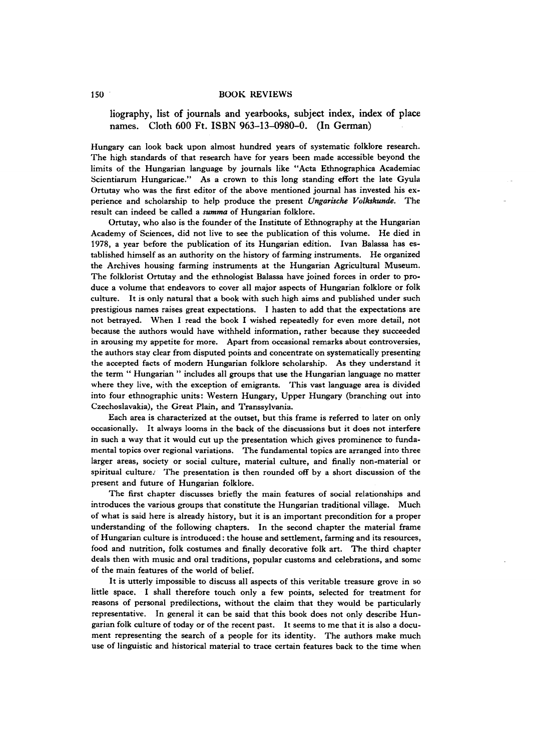liography, list of journals and yearbooks, subject index, index of place names. Cloth 600 Ft. ISBN 963-13-0980-0. (In German)

Hungary can look back upon almost hundred years of systematic folklore research. The high standards of that research have for years been made accessible beyond the limits of the Hungarian language by journals like "Acta Ethnographica Academiac Scientiarum Hungaricae." As a crown to this long standing effort the late Gyula Ortutay who was the first editor of the above mentioned journal has invested his experience and scholarship to help produce the present *Ungarische Volkskunde.* The result can indeed be called a *summa* of Hungarian folklore.

Ortutay, who also is the founder of the Institute of Ethnography at the Hungarian Academy of Sciences, did not live to see the publication of this volume. He died in 1978, a year before the publication of its Hungarian edition. Ivan Balassa has established himself as an authority on the history of farming instruments. He organized the Archives housing farming instruments at the Hungarian Agricultural Museum. The folklorist Ortutay and the ethnologist Balassa have joined forces in order to produce a volume that endeavors to cover all major aspects of Hungarian folklore or folk culture. It is only natural that a book with such high aims and published under such prestigious names raises great expectations. I hasten to add that the expectations are not betrayed. When I read the book I wished repeatedly for even more detail, not because the authors would have withheld information, rather because they succeeded in arousing my appetite for more. Apart from occasional remarks about controversies, the authors stay clear from disputed points and concentrate on systematically presenting the accepted facts of modern Hungarian folklore scholarship. As they understand it the term " Hungarian '' includes all groups that use the Hungarian language no matter where they live, with the exception of emigrants. This vast language area is divided into four ethnographic units: Western Hungary, Upper Hungary (branching out into Czechoslavakia), the Great Plain, and Transsylvania.

Each area is characterized at the outset, but this frame is referred to later on only occasionally. It always looms in the back of the discussions but it does not interfere in such a way that it would cut up the presentation which gives prominence to fundamental topics over regional variations. The fundamental topics are arranged into three larger areas, society or social culture, material culture, and finally non-material or spiritual culture. The presentation is then rounded off by a short discussion of the present and future of Hungarian folklore.

The first chapter discusses briefly the main features of social relationships and introduces the various groups that constitute the Hungarian traditional village. Much of what is said here is already history, but it is an important precondition for a proper understanding of the following chapters. In the second chapter the material frame of Hungarian culture is introduced: the house and settlement, farming and its resources, food and nutrition, folk costumes and finally decorative folk art. The third chapter deals then with music and oral traditions, popular customs and celebrations, and some\* of the main features of the world of belief.

It is utterly impossible to discuss all aspects of this veritable treasure grove in so little space. I shall therefore touch only a few points, selected for treatment for reasons of personal predilections, without the claim that they would be particularly representative. In general it can be said that this book does not only describe Hungarian folk culture of today or of the recent past. It seems to me that it is also a document representing the search of a people for its identity. The authors make much use of linguistic and historical material to trace certain features back to the time when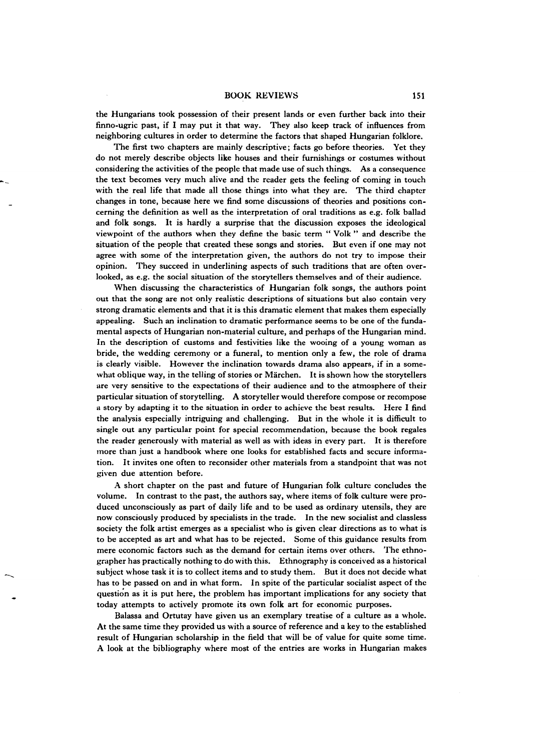### BOOK REVIEWS 151

the Hungarians took possession of their present lands or even further back into their finno-ugric past, if I may put it that way. They also keep track of influences from neighboring cultures in order to determine the factors that shaped Hungarian folklore.

The first two chapters are mainly descriptive; facts go before theories. Yet they do not merely describe objects like houses and their furnishings or costumes without considering the activities of the people that made use of such things. As a consequence the text becomes very much alive and the reader gets the feeling of coming in touch with the real life that made all those things into what they are. The third chapter changes in tone, because here we find some discussions of theories and positions concerning the definition as well as the interpretation of oral traditions as e.g. folk ballad and folk songs. It is hardly a surprise that the discussion exposes the ideological viewpoint of the authors when they define the basic term " Volk " and describe the situation of the people that created these songs and stories. But even if one may not agree with some of the interpretation given, the authors do not try to impose their opinion. They succeed in underlining aspects of such traditions that are often overlooked, as e.g. the social situation of the storytellers themselves and of their audience.

When discussing the characteristics of Hungarian folk songs, the authors point out that the song are not only realistic descriptions of situations but also contain very strong dramatic elements and that it is this dramatic element that makes them especially appealing. Such an inclination to dramatic performance seems to be one of the fundamental aspects of Hungarian non-material culture, and perhaps of the Hungarian mind. In the description of customs and festivities like the wooing of a young woman as bride, the wedding ceremony or a funeral, to mention only a few, the role of drama is clearly visible. However the inclination towards drama also appears, if in a somewhat oblique way, in the telling of stories or Märchen. It is shown how the storytellers are very sensitive to the expectations of their audience and to the atmosphere of their particular situation of storytelling. A storyteller would therefore compose or recompose a story by adapting it to the situation in order to achieve the best results. Here I find the analysis especially intriguing and challenging. But in the whole it is difficult to single out any particular point for special recommendation, because the book regales the reader generously with material as well as with ideas in every part. It is therefore more than just a handbook where one looks for established facts and secure information. It invites one often to reconsider other materials from a standpoint that was not given due attention before.

A short chapter on the past and future of Hungarian folk culture concludes the volume. In contrast to the past, the authors say, where items of folk culture were produced unconsciously as part of daily life and to be used as ordinary utensils, they are now consciously produced by specialists in the trade. In the new socialist and classless society the folk artist emerges as a specialist who is given clear directions as to what is to be accepted as art and what has to be rejected. Some of this guidance results from mere economic factors such as the demand for certain items over others. The ethnographer has practically nothing to do with this. Ethnography is conceived as a historical subject whose task it is to collect items and to study them. But it does not decide what has to be passed on and in what form. In spite of the particular socialist aspect of the question as it is put here, the problem has important implications for any society that today attempts to actively promote its own folk art for economic purposes.

Balassa and Ortutay have given us an exemplary treatise of a culture as a whole. At the same time they provided us with a source of reference and a key to the established result of Hungarian scholarship in the field that will be of value for quite some time. A look at the bibliography where most of the entries are works in Hungarian makes